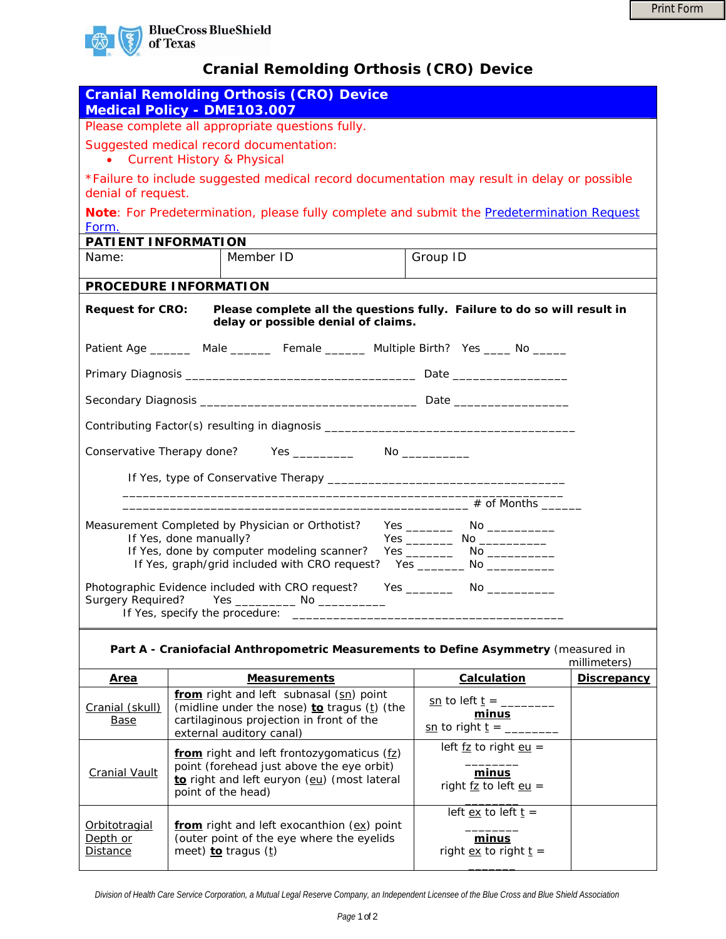

## **Cranial Remolding Orthosis (CRO) Device**

| <b>Cranial Remolding Orthosis (CRO) Device</b><br><b>Medical Policy - DME103.007</b>                                                       |                                                                                  |                                                                                                                                                                |                                                                                                        |                                                                                                                                  |                    |  |  |  |  |  |  |
|--------------------------------------------------------------------------------------------------------------------------------------------|----------------------------------------------------------------------------------|----------------------------------------------------------------------------------------------------------------------------------------------------------------|--------------------------------------------------------------------------------------------------------|----------------------------------------------------------------------------------------------------------------------------------|--------------------|--|--|--|--|--|--|
| Please complete all appropriate questions fully.                                                                                           |                                                                                  |                                                                                                                                                                |                                                                                                        |                                                                                                                                  |                    |  |  |  |  |  |  |
| Suggested medical record documentation:<br><b>Current History &amp; Physical</b><br>$\bullet$                                              |                                                                                  |                                                                                                                                                                |                                                                                                        |                                                                                                                                  |                    |  |  |  |  |  |  |
| *Failure to include suggested medical record documentation may result in delay or possible<br>denial of request.                           |                                                                                  |                                                                                                                                                                |                                                                                                        |                                                                                                                                  |                    |  |  |  |  |  |  |
| Note: For Predetermination, please fully complete and submit the Predetermination Request<br>Form.                                         |                                                                                  |                                                                                                                                                                |                                                                                                        |                                                                                                                                  |                    |  |  |  |  |  |  |
| PATIENT INFORMATION                                                                                                                        |                                                                                  |                                                                                                                                                                |                                                                                                        |                                                                                                                                  |                    |  |  |  |  |  |  |
| Name:                                                                                                                                      |                                                                                  | Member ID                                                                                                                                                      | Group ID                                                                                               |                                                                                                                                  |                    |  |  |  |  |  |  |
| PROCEDURE INFORMATION                                                                                                                      |                                                                                  |                                                                                                                                                                |                                                                                                        |                                                                                                                                  |                    |  |  |  |  |  |  |
| Please complete all the questions fully. Failure to do so will result in<br><b>Request for CRO:</b><br>delay or possible denial of claims. |                                                                                  |                                                                                                                                                                |                                                                                                        |                                                                                                                                  |                    |  |  |  |  |  |  |
| Patient Age _________ Male __________ Female ________ Multiple Birth? Yes _____ No ______                                                  |                                                                                  |                                                                                                                                                                |                                                                                                        |                                                                                                                                  |                    |  |  |  |  |  |  |
|                                                                                                                                            |                                                                                  |                                                                                                                                                                |                                                                                                        |                                                                                                                                  |                    |  |  |  |  |  |  |
|                                                                                                                                            |                                                                                  |                                                                                                                                                                |                                                                                                        |                                                                                                                                  |                    |  |  |  |  |  |  |
|                                                                                                                                            | Contributing Factor(s) resulting in diagnosis __________________________________ |                                                                                                                                                                |                                                                                                        |                                                                                                                                  |                    |  |  |  |  |  |  |
|                                                                                                                                            |                                                                                  |                                                                                                                                                                |                                                                                                        |                                                                                                                                  |                    |  |  |  |  |  |  |
|                                                                                                                                            |                                                                                  |                                                                                                                                                                |                                                                                                        |                                                                                                                                  |                    |  |  |  |  |  |  |
|                                                                                                                                            |                                                                                  |                                                                                                                                                                |                                                                                                        |                                                                                                                                  |                    |  |  |  |  |  |  |
| Measurement Completed by Physician or Orthotist?<br>If Yes, done manually?                                                                 |                                                                                  |                                                                                                                                                                |                                                                                                        |                                                                                                                                  |                    |  |  |  |  |  |  |
| If Yes, done by computer modeling scanner?<br>If Yes, graph/grid included with CRO request?<br>Yes __________ No _____________             |                                                                                  |                                                                                                                                                                |                                                                                                        |                                                                                                                                  |                    |  |  |  |  |  |  |
| Photographic Evidence included with CRO request?                                                                                           |                                                                                  |                                                                                                                                                                |                                                                                                        |                                                                                                                                  |                    |  |  |  |  |  |  |
| <b>Surgery Required?</b><br>If Yes, specify the procedure:                                                                                 |                                                                                  |                                                                                                                                                                |                                                                                                        |                                                                                                                                  |                    |  |  |  |  |  |  |
| Part A - Craniofacial Anthropometric Measurements to Define Asymmetry (measured in<br>millimeters)                                         |                                                                                  |                                                                                                                                                                |                                                                                                        |                                                                                                                                  |                    |  |  |  |  |  |  |
| <u>Area</u>                                                                                                                                |                                                                                  | <b>Measurements</b>                                                                                                                                            |                                                                                                        | Calculation                                                                                                                      | <b>Discrepancy</b> |  |  |  |  |  |  |
| Cranial (skull)<br><b>Base</b>                                                                                                             |                                                                                  | from right and left subnasal (sn) point<br>(midline under the nose) to tragus (t) (the<br>cartilaginous projection in front of the<br>external auditory canal) |                                                                                                        | <u>sn</u> to left <u>t</u> = ________<br>minus<br>$\underline{\text{sn}}$ to right $\underline{\text{t}} = \underline{\text{r}}$ |                    |  |  |  |  |  |  |
| <b>Cranial Vault</b>                                                                                                                       |                                                                                  | from right and left frontozygomaticus (fz)<br>point (forehead just above the eye orbit)<br>to right and left euryon (eu) (most lateral<br>point of the head)   | left $f\overline{z}$ to right $e\overline{u}$ =<br>minus<br>right $\underline{fz}$ to left <u>eu</u> = |                                                                                                                                  |                    |  |  |  |  |  |  |
| <u>Orbitotragial</u><br>Depth or<br><b>Distance</b>                                                                                        |                                                                                  | from right and left exocanthion (ex) point<br>(outer point of the eye where the eyelids<br>meet) to tragus (t)                                                 | left $ex$ to left $t =$<br>minus<br>right $ex$ to right $t =$                                          |                                                                                                                                  |                    |  |  |  |  |  |  |